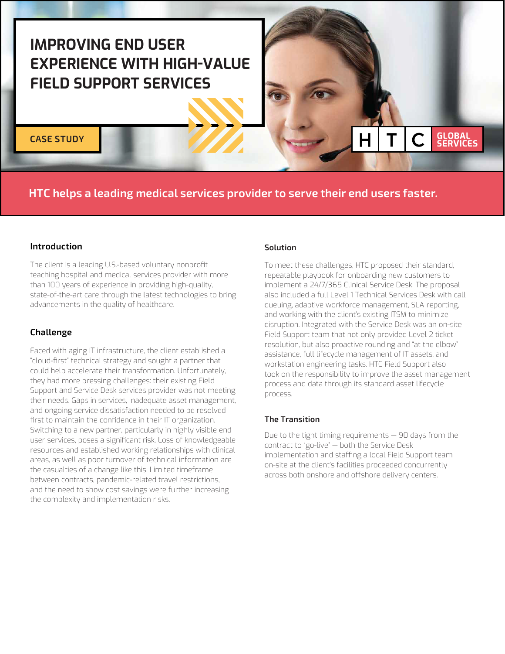# **IMPROVING END USER EXPERIENCE WITH HIGH-VALUE FIELD SUPPORT SERVICES**

**CASE STUDY**

# **HTC helps a leading medical services provider to serve their end users faster.**

## **Introduction**

The client is a leading U.S.-based voluntary nonprofit teaching hospital and medical services provider with more than 100 years of experience in providing high-quality, state-of-the-art care through the latest technologies to bring advancements in the quality of healthcare.

## **Challenge**

Faced with aging IT infrastructure, the client established a "cloud-first" technical strategy and sought a partner that could help accelerate their transformation. Unfortunately, they had more pressing challenges: their existing Field Support and Service Desk services provider was not meeting their needs. Gaps in services, inadequate asset management, and ongoing service dissatisfaction needed to be resolved first to maintain the confidence in their IT organization. Switching to a new partner, particularly in highly visible end user services, poses a significant risk. Loss of knowledgeable resources and established working relationships with clinical areas, as well as poor turnover of technical information are the casualties of a change like this. Limited timeframe between contracts, pandemic-related travel restrictions, and the need to show cost savings were further increasing the complexity and implementation risks.

#### **Solution**

To meet these challenges, HTC proposed their standard, repeatable playbook for onboarding new customers to implement a 24/7/365 Clinical Service Desk. The proposal also included a full Level 1 Technical Services Desk with call queuing, adaptive workforce management, SLA reporting, and working with the client's existing ITSM to minimize disruption. Integrated with the Service Desk was an on-site Field Support team that not only provided Level 2 ticket resolution, but also proactive rounding and "at the elbow" assistance, full lifecycle management of IT assets, and workstation engineering tasks. HTC Field Support also took on the responsibility to improve the asset management process and data through its standard asset lifecycle process.

**GLOBAL<br>SERVICES** 

#### **The Transition**

Due to the tight timing requirements — 90 days from the contract to "go-live" — both the Service Desk implementation and staffing a local Field Support team on-site at the client's facilities proceeded concurrently across both onshore and offshore delivery centers.